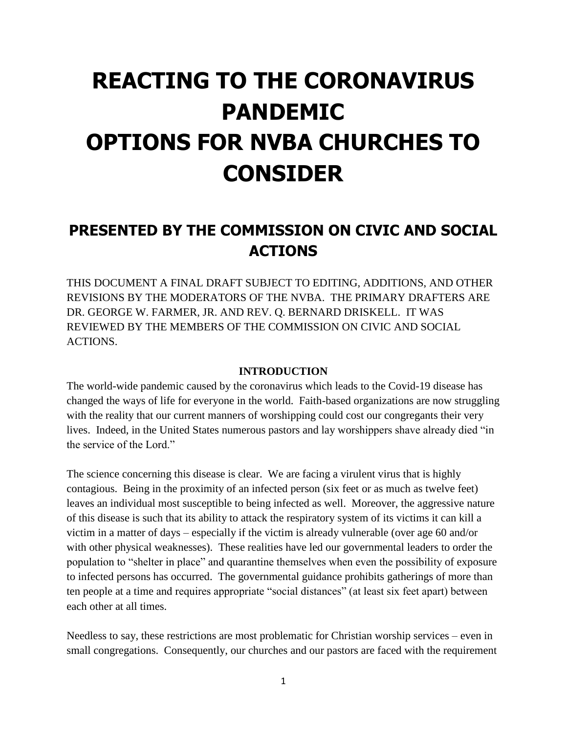# **REACTING TO THE CORONAVIRUS PANDEMIC OPTIONS FOR NVBA CHURCHES TO CONSIDER**

# **PRESENTED BY THE COMMISSION ON CIVIC AND SOCIAL ACTIONS**

THIS DOCUMENT A FINAL DRAFT SUBJECT TO EDITING, ADDITIONS, AND OTHER REVISIONS BY THE MODERATORS OF THE NVBA. THE PRIMARY DRAFTERS ARE DR. GEORGE W. FARMER, JR. AND REV. Q. BERNARD DRISKELL. IT WAS REVIEWED BY THE MEMBERS OF THE COMMISSION ON CIVIC AND SOCIAL ACTIONS.

#### **INTRODUCTION**

The world-wide pandemic caused by the coronavirus which leads to the Covid-19 disease has changed the ways of life for everyone in the world. Faith-based organizations are now struggling with the reality that our current manners of worshipping could cost our congregants their very lives. Indeed, in the United States numerous pastors and lay worshippers shave already died "in the service of the Lord."

The science concerning this disease is clear. We are facing a virulent virus that is highly contagious. Being in the proximity of an infected person (six feet or as much as twelve feet) leaves an individual most susceptible to being infected as well. Moreover, the aggressive nature of this disease is such that its ability to attack the respiratory system of its victims it can kill a victim in a matter of days – especially if the victim is already vulnerable (over age 60 and/or with other physical weaknesses). These realities have led our governmental leaders to order the population to "shelter in place" and quarantine themselves when even the possibility of exposure to infected persons has occurred. The governmental guidance prohibits gatherings of more than ten people at a time and requires appropriate "social distances" (at least six feet apart) between each other at all times.

Needless to say, these restrictions are most problematic for Christian worship services – even in small congregations. Consequently, our churches and our pastors are faced with the requirement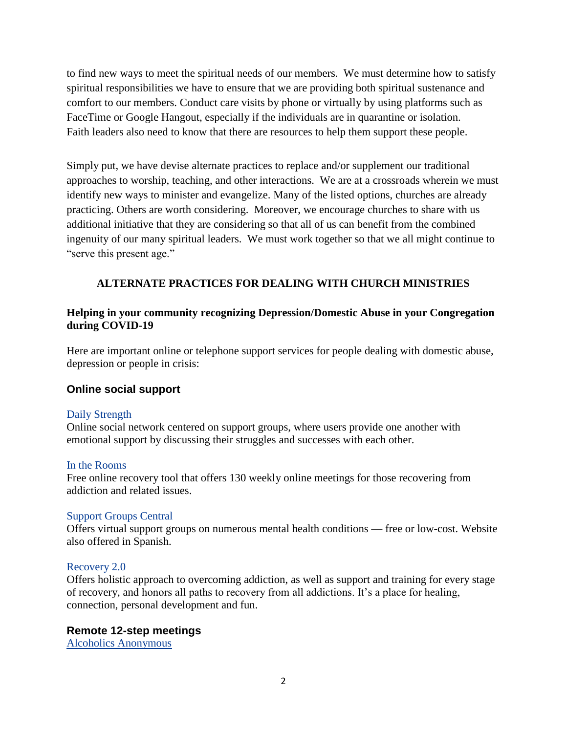to find new ways to meet the spiritual needs of our members. We must determine how to satisfy spiritual responsibilities we have to ensure that we are providing both spiritual sustenance and comfort to our members. Conduct care visits by phone or virtually by using platforms such as FaceTime or Google Hangout, especially if the individuals are in quarantine or isolation. Faith leaders also need to know that there are resources to help them support these people.

Simply put, we have devise alternate practices to replace and/or supplement our traditional approaches to worship, teaching, and other interactions. We are at a crossroads wherein we must identify new ways to minister and evangelize. Many of the listed options, churches are already practicing. Others are worth considering. Moreover, we encourage churches to share with us additional initiative that they are considering so that all of us can benefit from the combined ingenuity of our many spiritual leaders. We must work together so that we all might continue to "serve this present age."

# **ALTERNATE PRACTICES FOR DEALING WITH CHURCH MINISTRIES**

## **Helping in your community recognizing Depression/Domestic Abuse in your Congregation during COVID-19**

Here are important online or telephone support services for people dealing with domestic abuse, depression or people in crisis:

# **Online social support**

#### [Daily Strength](https://www.dailystrength.org/)

Online social network centered on support groups, where users provide one another with emotional support by discussing their struggles and successes with each other.

#### [In the Rooms](https://www.intherooms.com/home/)

Free online recovery tool that offers 130 weekly online meetings for those recovering from addiction and related issues.

#### [Support Groups Central](https://www.supportgroupscentral.com/)

Offers virtual support groups on numerous mental health conditions — free or low-cost. Website also offered in Spanish.

#### [Recovery 2.0](https://r20.com/)

Offers holistic approach to overcoming addiction, as well as support and training for every stage of recovery, and honors all paths to recovery from all addictions. It's a place for healing, connection, personal development and fun.

#### **Remote 12-step meetings**

[Alcoholics Anonymous](http://aa-intergroup.org/directory.php)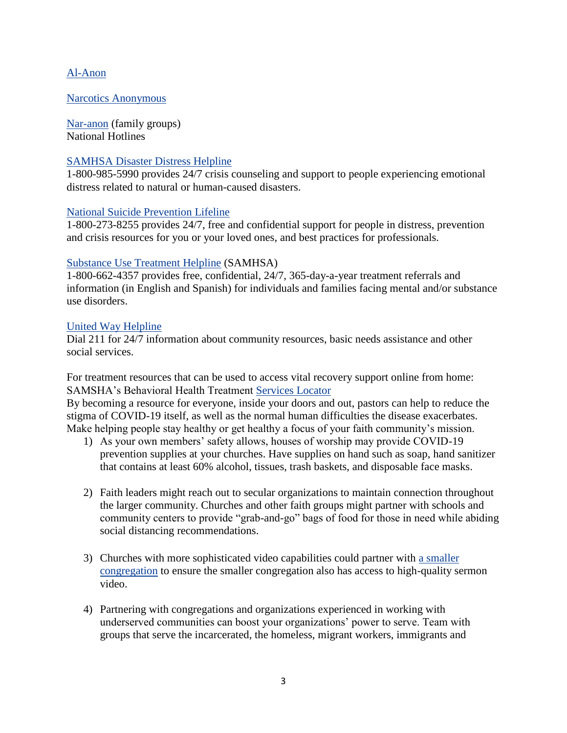### [Al-Anon](https://al-anon.org/al-anon-meetings/electronic-meetings/)

#### [Narcotics Anonymous](https://virtual-na.org/)

[Nar-anon](https://www.nar-anon.org/) (family groups) National Hotlines

#### [SAMHSA Disaster Distress Helpline](https://www.samhsa.gov/)

1-800-985-5990 provides 24/7 crisis counseling and support to people experiencing emotional distress related to natural or human-caused disasters.

#### [National Suicide Prevention Lifeline](https://suicidepreventionlifeline.org/)

1-800-273-8255 provides 24/7, free and confidential support for people in distress, prevention and crisis resources for you or your loved ones, and best practices for professionals.

#### [Substance Use Treatment Helpline](https://www.samhsa.gov/find-help/national-helpline) (SAMHSA)

1-800-662-4357 provides free, confidential, 24/7, 365-day-a-year treatment referrals and information (in English and Spanish) for individuals and families facing mental and/or substance use disorders.

#### [United Way Helpline](https://www.unitedway.org/our-impact/featured-programs/2-1-1)

Dial 211 for 24/7 information about community resources, basic needs assistance and other social services.

For treatment resources that can be used to access vital recovery support online from home: SAMSHA's Behavioral Health Treatment [Services Locator](https://findtreatment.samhsa.gov/)

By becoming a resource for everyone, inside your doors and out, pastors can help to reduce the stigma of COVID-19 itself, as well as the normal human difficulties the disease exacerbates. Make helping people stay healthy or get healthy a focus of your faith community's mission.

- 1) As your own members' safety allows, houses of worship may provide COVID-19 prevention supplies at your churches. Have supplies on hand such as soap, hand sanitizer that contains at least 60% alcohol, tissues, trash baskets, and disposable face masks.
- 2) Faith leaders might reach out to secular organizations to maintain connection throughout the larger community. Churches and other faith groups might partner with schools and community centers to provide "grab-and-go" bags of food for those in need while abiding social distancing recommendations.
- 3) Churches with more sophisticated video capabilities could partner with [a smaller](https://religionnews.com/2020/04/06/during-pandemic-small-and-older-churches-face-obstacles-to-adapt/)  [congregation](https://religionnews.com/2020/04/06/during-pandemic-small-and-older-churches-face-obstacles-to-adapt/) to ensure the smaller congregation also has access to high-quality sermon video.
- 4) Partnering with congregations and organizations experienced in working with underserved communities can boost your organizations' power to serve. Team with groups that serve the incarcerated, the homeless, migrant workers, immigrants and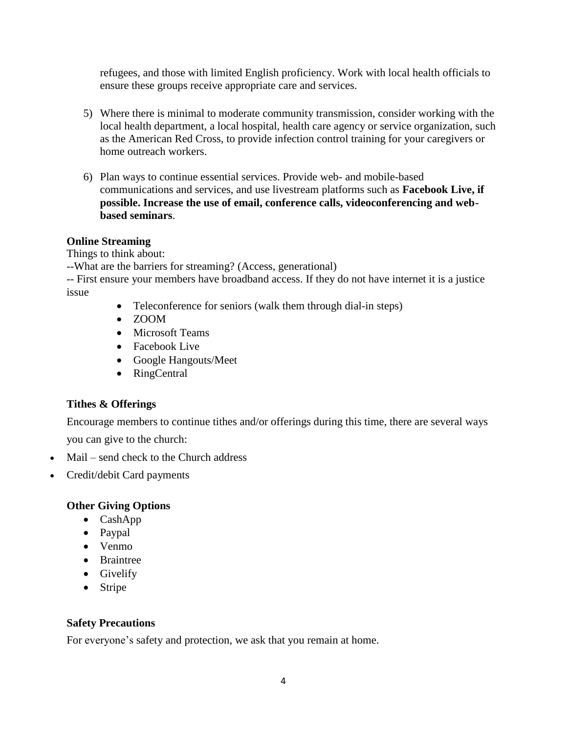refugees, and those with limited English proficiency. Work with local health officials to ensure these groups receive appropriate care and services.

- 5) Where there is minimal to moderate community transmission, consider working with the local health department, a local hospital, health care agency or service organization, such as the American Red Cross, to provide infection control training for your caregivers or home outreach workers.
- 6) Plan ways to continue essential services. Provide web- and mobile-based communications and services, and use livestream platforms such as **Facebook Live, if possible. Increase the use of email, conference calls, videoconferencing and webbased seminars**.

### **Online Streaming**

Things to think about:

--What are the barriers for streaming? (Access, generational)

-- First ensure your members have broadband access. If they do not have internet it is a justice issue

- Teleconference for seniors (walk them through dial-in steps)
- ZOOM
- Microsoft Teams
- Facebook Live
- Google Hangouts/Meet
- RingCentral

# **Tithes & Offerings**

Encourage members to continue tithes and/or offerings during this time, there are several ways you can give to the church:

- Mail send check to the Church address
- Credit/debit Card payments

# **Other Giving Options**

- CashApp
- Paypal
- Venmo
- Braintree
- Givelify
- Stripe

# **Safety Precautions**

For everyone's safety and protection, we ask that you remain at home.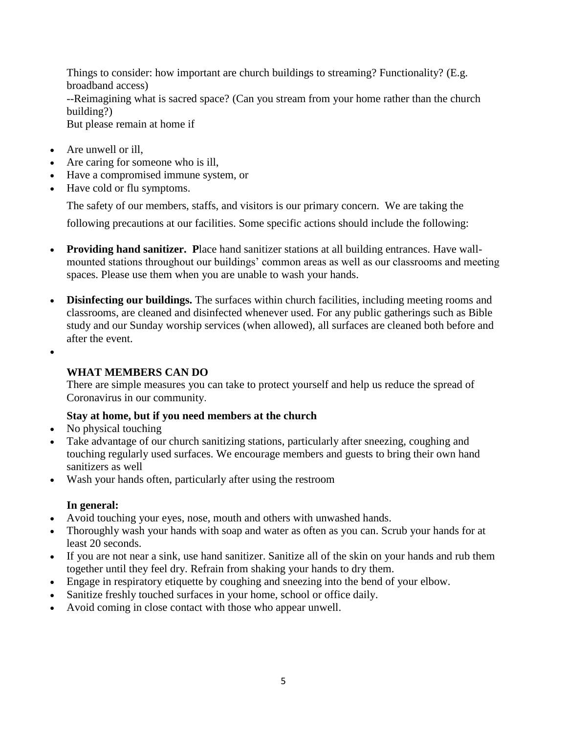Things to consider: how important are church buildings to streaming? Functionality? (E.g. broadband access)

--Reimagining what is sacred space? (Can you stream from your home rather than the church building?)

But please remain at home if

- Are unwell or ill,
- Are caring for someone who is ill,
- Have a compromised immune system, or
- Have cold or flu symptoms.

The safety of our members, staffs, and visitors is our primary concern. We are taking the

following precautions at our facilities. Some specific actions should include the following:

- **Providing hand sanitizer. P**lace hand sanitizer stations at all building entrances. Have wallmounted stations throughout our buildings' common areas as well as our classrooms and meeting spaces. Please use them when you are unable to wash your hands.
- **Disinfecting our buildings.** The surfaces within church facilities, including meeting rooms and classrooms, are cleaned and disinfected whenever used. For any public gatherings such as Bible study and our Sunday worship services (when allowed), all surfaces are cleaned both before and after the event.
- $\bullet$

# **WHAT MEMBERS CAN DO**

There are simple measures you can take to protect yourself and help us reduce the spread of Coronavirus in our community.

# **Stay at home, but if you need members at the church**

- No physical touching
- Take advantage of our church sanitizing stations, particularly after sneezing, coughing and touching regularly used surfaces. We encourage members and guests to bring their own hand sanitizers as well
- Wash your hands often, particularly after using the restroom

# **In general:**

- Avoid touching your eyes, nose, mouth and others with unwashed hands.
- Thoroughly wash your hands with soap and water as often as you can. Scrub your hands for at least 20 seconds.
- If you are not near a sink, use hand sanitizer. Sanitize all of the skin on your hands and rub them together until they feel dry. Refrain from shaking your hands to dry them.
- Engage in respiratory etiquette by coughing and sneezing into the bend of your elbow.
- Sanitize freshly touched surfaces in your home, school or office daily.
- Avoid coming in close contact with those who appear unwell.